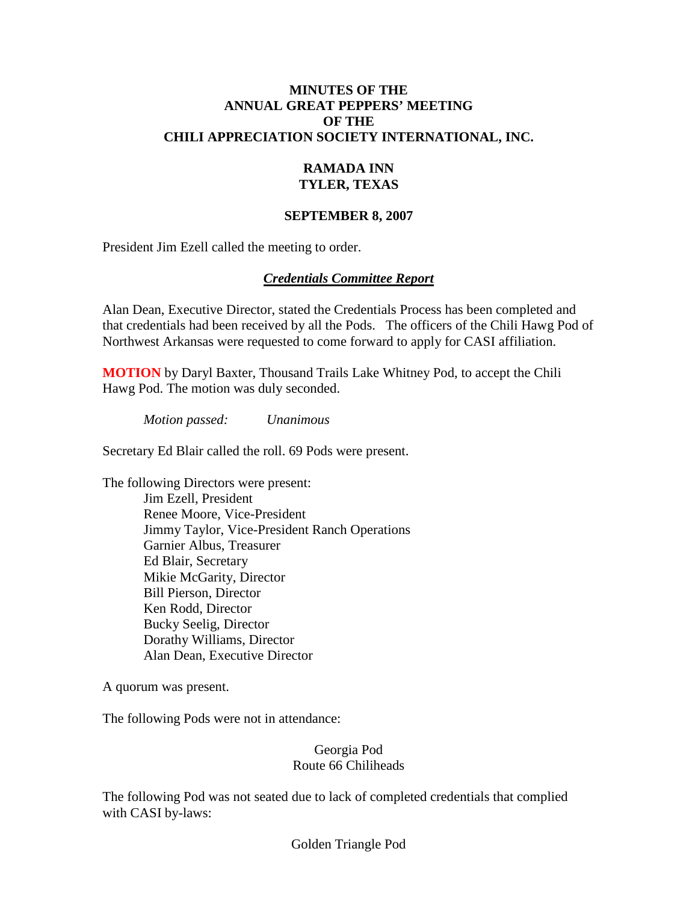### **MINUTES OF THE ANNUAL GREAT PEPPERS' MEETING OF THE CHILI APPRECIATION SOCIETY INTERNATIONAL, INC.**

### **RAMADA INN TYLER, TEXAS**

### **SEPTEMBER 8, 2007**

President Jim Ezell called the meeting to order.

### *Credentials Committee Report*

Alan Dean, Executive Director, stated the Credentials Process has been completed and that credentials had been received by all the Pods. The officers of the Chili Hawg Pod of Northwest Arkansas were requested to come forward to apply for CASI affiliation.

**MOTION** by Daryl Baxter, Thousand Trails Lake Whitney Pod, to accept the Chili Hawg Pod. The motion was duly seconded.

*Motion passed: Unanimous*

Secretary Ed Blair called the roll. 69 Pods were present.

The following Directors were present:

Jim Ezell, President Renee Moore, Vice-President Jimmy Taylor, Vice-President Ranch Operations Garnier Albus, Treasurer Ed Blair, Secretary Mikie McGarity, Director Bill Pierson, Director Ken Rodd, Director Bucky Seelig, Director Dorathy Williams, Director Alan Dean, Executive Director

A quorum was present.

The following Pods were not in attendance:

#### Georgia Pod Route 66 Chiliheads

The following Pod was not seated due to lack of completed credentials that complied with CASI by-laws:

Golden Triangle Pod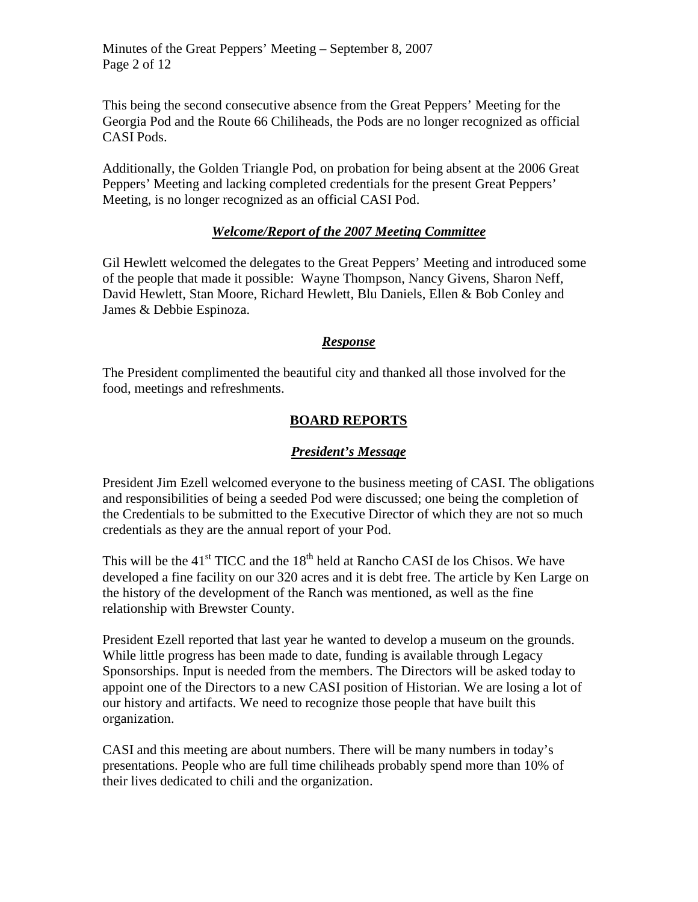This being the second consecutive absence from the Great Peppers' Meeting for the Georgia Pod and the Route 66 Chiliheads, the Pods are no longer recognized as official CASI Pods.

Additionally, the Golden Triangle Pod, on probation for being absent at the 2006 Great Peppers' Meeting and lacking completed credentials for the present Great Peppers' Meeting, is no longer recognized as an official CASI Pod.

## *Welcome/Report of the 2007 Meeting Committee*

Gil Hewlett welcomed the delegates to the Great Peppers' Meeting and introduced some of the people that made it possible: Wayne Thompson, Nancy Givens, Sharon Neff, David Hewlett, Stan Moore, Richard Hewlett, Blu Daniels, Ellen & Bob Conley and James & Debbie Espinoza.

## *Response*

The President complimented the beautiful city and thanked all those involved for the food, meetings and refreshments.

## **BOARD REPORTS**

### *President's Message*

President Jim Ezell welcomed everyone to the business meeting of CASI. The obligations and responsibilities of being a seeded Pod were discussed; one being the completion of the Credentials to be submitted to the Executive Director of which they are not so much credentials as they are the annual report of your Pod.

This will be the  $41<sup>st</sup> TICC$  and the  $18<sup>th</sup>$  held at Rancho CASI de los Chisos. We have developed a fine facility on our 320 acres and it is debt free. The article by Ken Large on the history of the development of the Ranch was mentioned, as well as the fine relationship with Brewster County.

President Ezell reported that last year he wanted to develop a museum on the grounds. While little progress has been made to date, funding is available through Legacy Sponsorships. Input is needed from the members. The Directors will be asked today to appoint one of the Directors to a new CASI position of Historian. We are losing a lot of our history and artifacts. We need to recognize those people that have built this organization.

CASI and this meeting are about numbers. There will be many numbers in today's presentations. People who are full time chiliheads probably spend more than 10% of their lives dedicated to chili and the organization.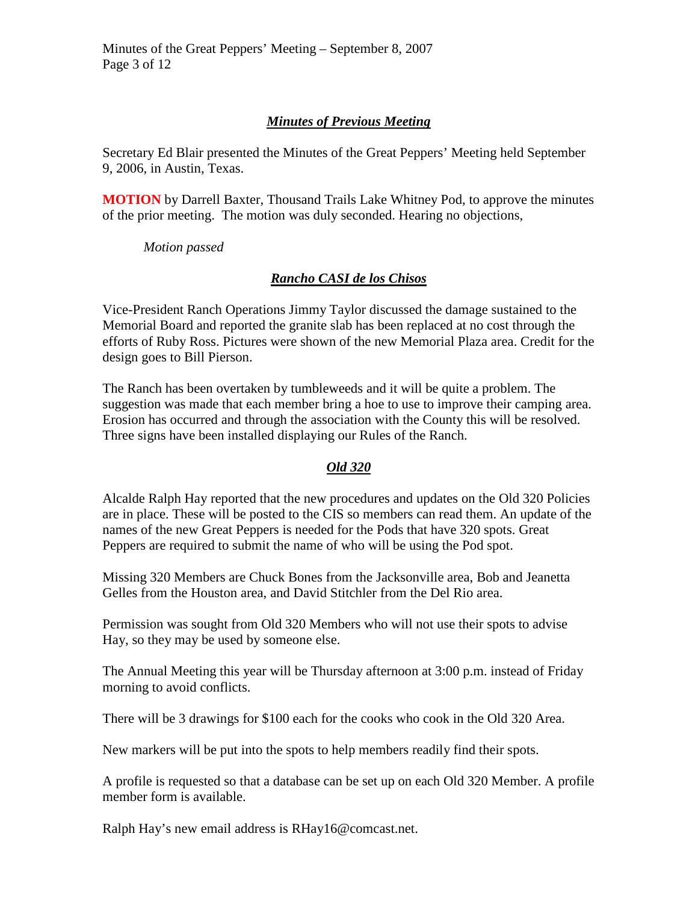## *Minutes of Previous Meeting*

Secretary Ed Blair presented the Minutes of the Great Peppers' Meeting held September 9, 2006, in Austin, Texas.

**MOTION** by Darrell Baxter, Thousand Trails Lake Whitney Pod, to approve the minutes of the prior meeting. The motion was duly seconded. Hearing no objections,

*Motion passed*

## *Rancho CASI de los Chisos*

Vice-President Ranch Operations Jimmy Taylor discussed the damage sustained to the Memorial Board and reported the granite slab has been replaced at no cost through the efforts of Ruby Ross. Pictures were shown of the new Memorial Plaza area. Credit for the design goes to Bill Pierson.

The Ranch has been overtaken by tumbleweeds and it will be quite a problem. The suggestion was made that each member bring a hoe to use to improve their camping area. Erosion has occurred and through the association with the County this will be resolved. Three signs have been installed displaying our Rules of the Ranch.

## *Old 320*

Alcalde Ralph Hay reported that the new procedures and updates on the Old 320 Policies are in place. These will be posted to the CIS so members can read them. An update of the names of the new Great Peppers is needed for the Pods that have 320 spots. Great Peppers are required to submit the name of who will be using the Pod spot.

Missing 320 Members are Chuck Bones from the Jacksonville area, Bob and Jeanetta Gelles from the Houston area, and David Stitchler from the Del Rio area.

Permission was sought from Old 320 Members who will not use their spots to advise Hay, so they may be used by someone else.

The Annual Meeting this year will be Thursday afternoon at 3:00 p.m. instead of Friday morning to avoid conflicts.

There will be 3 drawings for \$100 each for the cooks who cook in the Old 320 Area.

New markers will be put into the spots to help members readily find their spots.

A profile is requested so that a database can be set up on each Old 320 Member. A profile member form is available.

Ralph Hay's new email address is RHay16@comcast.net.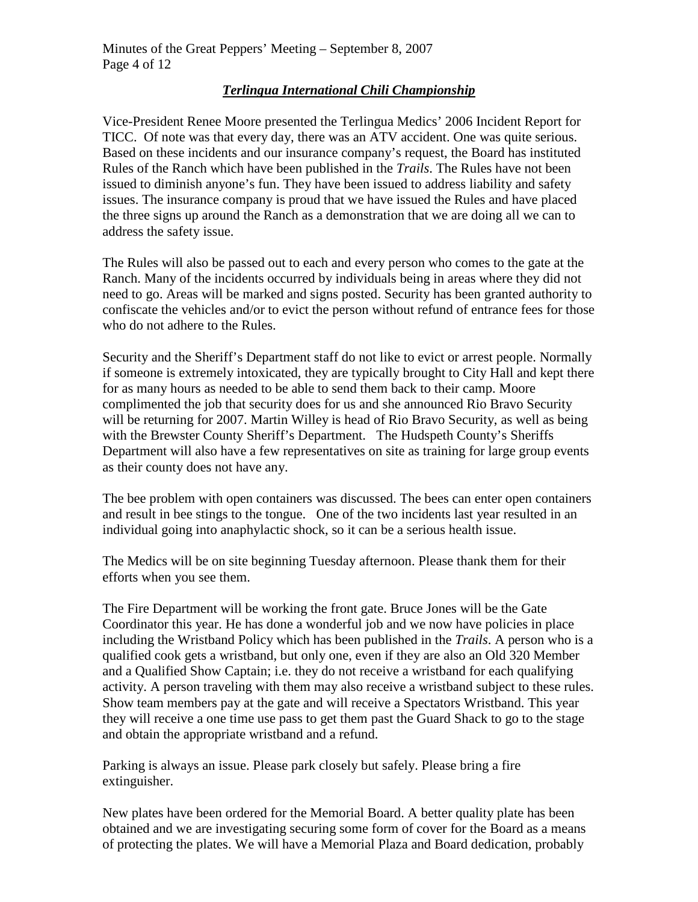## *Terlingua International Chili Championship*

Vice-President Renee Moore presented the Terlingua Medics' 2006 Incident Report for TICC. Of note was that every day, there was an ATV accident. One was quite serious. Based on these incidents and our insurance company's request, the Board has instituted Rules of the Ranch which have been published in the *Trails*. The Rules have not been issued to diminish anyone's fun. They have been issued to address liability and safety issues. The insurance company is proud that we have issued the Rules and have placed the three signs up around the Ranch as a demonstration that we are doing all we can to address the safety issue.

The Rules will also be passed out to each and every person who comes to the gate at the Ranch. Many of the incidents occurred by individuals being in areas where they did not need to go. Areas will be marked and signs posted. Security has been granted authority to confiscate the vehicles and/or to evict the person without refund of entrance fees for those who do not adhere to the Rules.

Security and the Sheriff's Department staff do not like to evict or arrest people. Normally if someone is extremely intoxicated, they are typically brought to City Hall and kept there for as many hours as needed to be able to send them back to their camp. Moore complimented the job that security does for us and she announced Rio Bravo Security will be returning for 2007. Martin Willey is head of Rio Bravo Security, as well as being with the Brewster County Sheriff's Department. The Hudspeth County's Sheriffs Department will also have a few representatives on site as training for large group events as their county does not have any.

The bee problem with open containers was discussed. The bees can enter open containers and result in bee stings to the tongue. One of the two incidents last year resulted in an individual going into anaphylactic shock, so it can be a serious health issue.

The Medics will be on site beginning Tuesday afternoon. Please thank them for their efforts when you see them.

The Fire Department will be working the front gate. Bruce Jones will be the Gate Coordinator this year. He has done a wonderful job and we now have policies in place including the Wristband Policy which has been published in the *Trails*. A person who is a qualified cook gets a wristband, but only one, even if they are also an Old 320 Member and a Qualified Show Captain; i.e. they do not receive a wristband for each qualifying activity. A person traveling with them may also receive a wristband subject to these rules. Show team members pay at the gate and will receive a Spectators Wristband. This year they will receive a one time use pass to get them past the Guard Shack to go to the stage and obtain the appropriate wristband and a refund.

Parking is always an issue. Please park closely but safely. Please bring a fire extinguisher.

New plates have been ordered for the Memorial Board. A better quality plate has been obtained and we are investigating securing some form of cover for the Board as a means of protecting the plates. We will have a Memorial Plaza and Board dedication, probably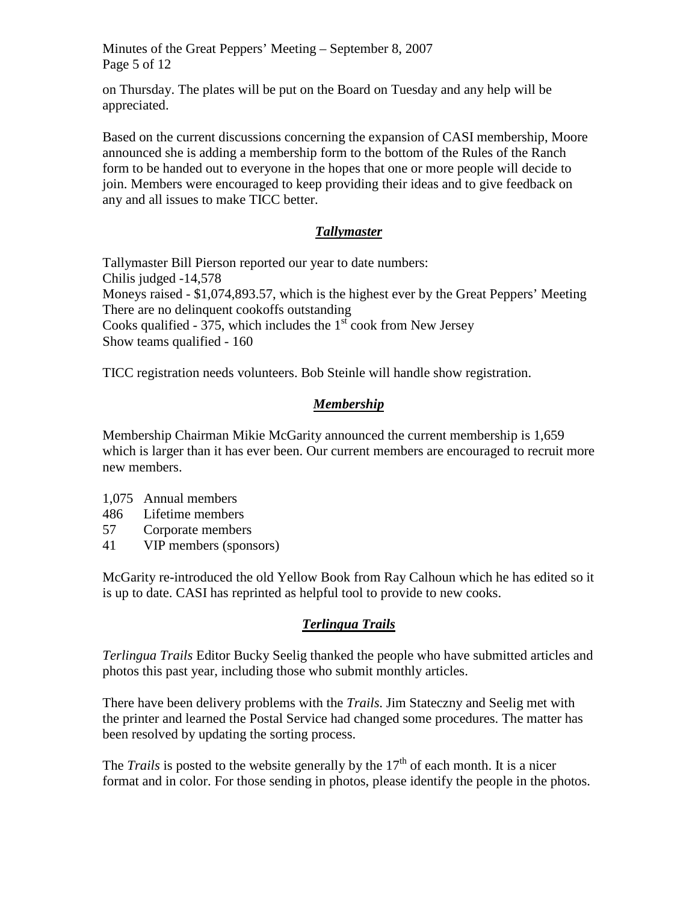Minutes of the Great Peppers' Meeting – September 8, 2007 Page 5 of 12

on Thursday. The plates will be put on the Board on Tuesday and any help will be appreciated.

Based on the current discussions concerning the expansion of CASI membership, Moore announced she is adding a membership form to the bottom of the Rules of the Ranch form to be handed out to everyone in the hopes that one or more people will decide to join. Members were encouraged to keep providing their ideas and to give feedback on any and all issues to make TICC better.

# *Tallymaster*

Tallymaster Bill Pierson reported our year to date numbers: Chilis judged -14,578 Moneys raised - \$1,074,893.57, which is the highest ever by the Great Peppers' Meeting There are no delinquent cookoffs outstanding Cooks qualified - 375, which includes the  $1<sup>st</sup>$  cook from New Jersey Show teams qualified - 160

TICC registration needs volunteers. Bob Steinle will handle show registration.

# *Membership*

Membership Chairman Mikie McGarity announced the current membership is 1,659 which is larger than it has ever been. Our current members are encouraged to recruit more new members.

- 1,075 Annual members
- 486 Lifetime members
- 57 Corporate members
- 41 VIP members (sponsors)

McGarity re-introduced the old Yellow Book from Ray Calhoun which he has edited so it is up to date. CASI has reprinted as helpful tool to provide to new cooks.

# *Terlingua Trails*

*Terlingua Trails* Editor Bucky Seelig thanked the people who have submitted articles and photos this past year, including those who submit monthly articles.

There have been delivery problems with the *Trails*. Jim Stateczny and Seelig met with the printer and learned the Postal Service had changed some procedures. The matter has been resolved by updating the sorting process.

The *Trails* is posted to the website generally by the  $17<sup>th</sup>$  of each month. It is a nicer format and in color. For those sending in photos, please identify the people in the photos.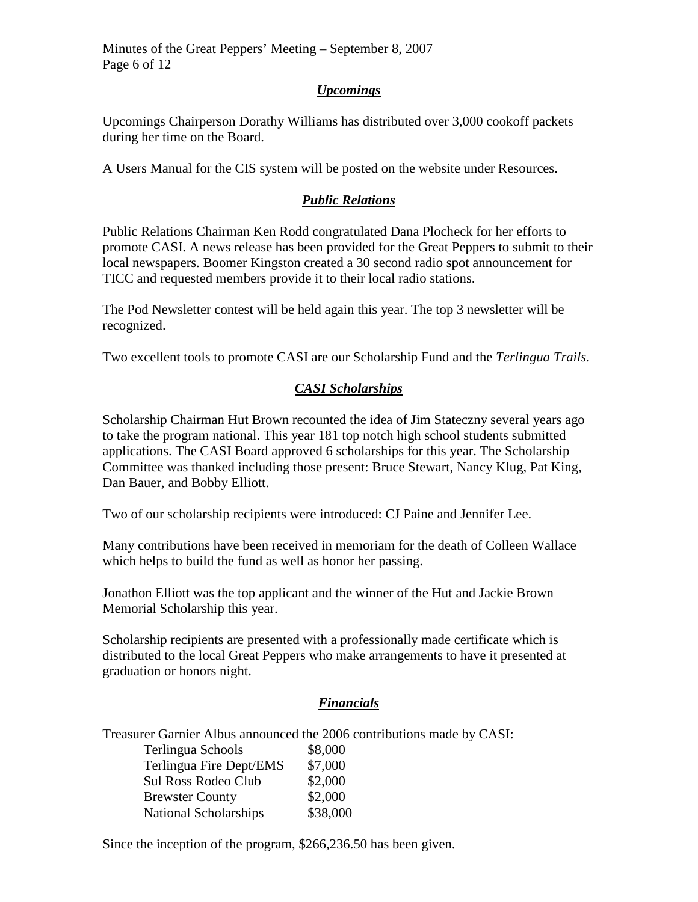Minutes of the Great Peppers' Meeting – September 8, 2007 Page 6 of 12

## *Upcomings*

Upcomings Chairperson Dorathy Williams has distributed over 3,000 cookoff packets during her time on the Board.

A Users Manual for the CIS system will be posted on the website under Resources.

## *Public Relations*

Public Relations Chairman Ken Rodd congratulated Dana Plocheck for her efforts to promote CASI. A news release has been provided for the Great Peppers to submit to their local newspapers. Boomer Kingston created a 30 second radio spot announcement for TICC and requested members provide it to their local radio stations.

The Pod Newsletter contest will be held again this year. The top 3 newsletter will be recognized.

Two excellent tools to promote CASI are our Scholarship Fund and the *Terlingua Trails*.

# *CASI Scholarships*

Scholarship Chairman Hut Brown recounted the idea of Jim Stateczny several years ago to take the program national. This year 181 top notch high school students submitted applications. The CASI Board approved 6 scholarships for this year. The Scholarship Committee was thanked including those present: Bruce Stewart, Nancy Klug, Pat King, Dan Bauer, and Bobby Elliott.

Two of our scholarship recipients were introduced: CJ Paine and Jennifer Lee.

Many contributions have been received in memoriam for the death of Colleen Wallace which helps to build the fund as well as honor her passing.

Jonathon Elliott was the top applicant and the winner of the Hut and Jackie Brown Memorial Scholarship this year.

Scholarship recipients are presented with a professionally made certificate which is distributed to the local Great Peppers who make arrangements to have it presented at graduation or honors night.

## *Financials*

Treasurer Garnier Albus announced the 2006 contributions made by CASI:

| Terlingua Schools            | \$8,000  |
|------------------------------|----------|
| Terlingua Fire Dept/EMS      | \$7,000  |
| Sul Ross Rodeo Club          | \$2,000  |
| <b>Brewster County</b>       | \$2,000  |
| <b>National Scholarships</b> | \$38,000 |

Since the inception of the program, \$266,236.50 has been given.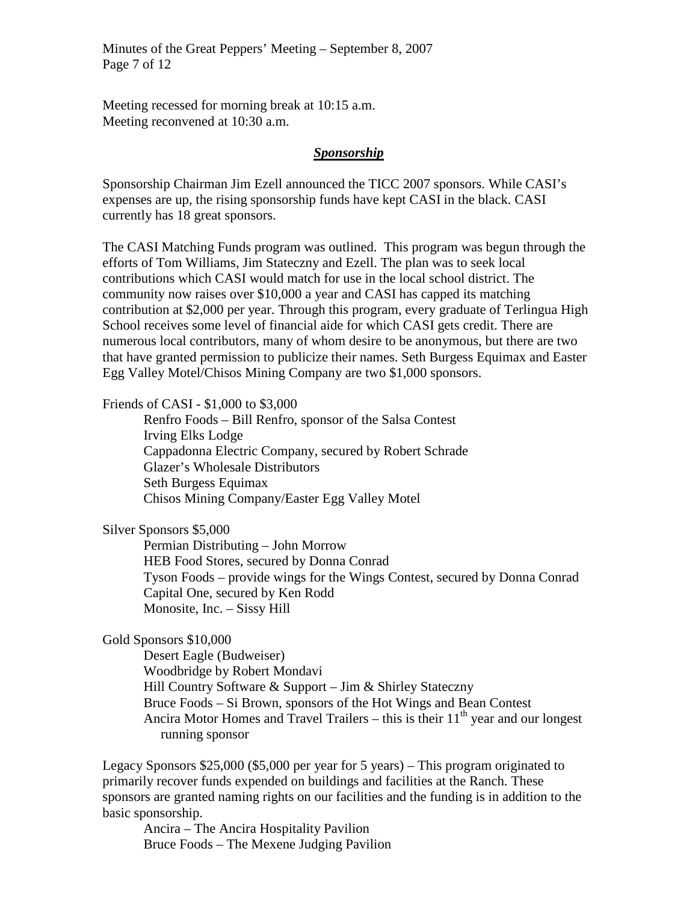Minutes of the Great Peppers' Meeting – September 8, 2007 Page 7 of 12

Meeting recessed for morning break at 10:15 a.m. Meeting reconvened at 10:30 a.m.

#### *Sponsorship*

Sponsorship Chairman Jim Ezell announced the TICC 2007 sponsors. While CASI's expenses are up, the rising sponsorship funds have kept CASI in the black. CASI currently has 18 great sponsors.

The CASI Matching Funds program was outlined. This program was begun through the efforts of Tom Williams, Jim Stateczny and Ezell. The plan was to seek local contributions which CASI would match for use in the local school district. The community now raises over \$10,000 a year and CASI has capped its matching contribution at \$2,000 per year. Through this program, every graduate of Terlingua High School receives some level of financial aide for which CASI gets credit. There are numerous local contributors, many of whom desire to be anonymous, but there are two that have granted permission to publicize their names. Seth Burgess Equimax and Easter Egg Valley Motel/Chisos Mining Company are two \$1,000 sponsors.

Friends of CASI - \$1,000 to \$3,000

Renfro Foods – Bill Renfro, sponsor of the Salsa Contest Irving Elks Lodge Cappadonna Electric Company, secured by Robert Schrade Glazer's Wholesale Distributors Seth Burgess Equimax Chisos Mining Company/Easter Egg Valley Motel

Silver Sponsors \$5,000

Permian Distributing – John Morrow HEB Food Stores, secured by Donna Conrad Tyson Foods – provide wings for the Wings Contest, secured by Donna Conrad Capital One, secured by Ken Rodd Monosite, Inc. – Sissy Hill

### Gold Sponsors \$10,000

Desert Eagle (Budweiser) Woodbridge by Robert Mondavi Hill Country Software & Support – Jim & Shirley Stateczny Bruce Foods – Si Brown, sponsors of the Hot Wings and Bean Contest Ancira Motor Homes and Travel Trailers – this is their  $11<sup>th</sup>$  year and our longest running sponsor

Legacy Sponsors \$25,000 (\$5,000 per year for 5 years) – This program originated to primarily recover funds expended on buildings and facilities at the Ranch. These sponsors are granted naming rights on our facilities and the funding is in addition to the basic sponsorship.

Ancira – The Ancira Hospitality Pavilion Bruce Foods – The Mexene Judging Pavilion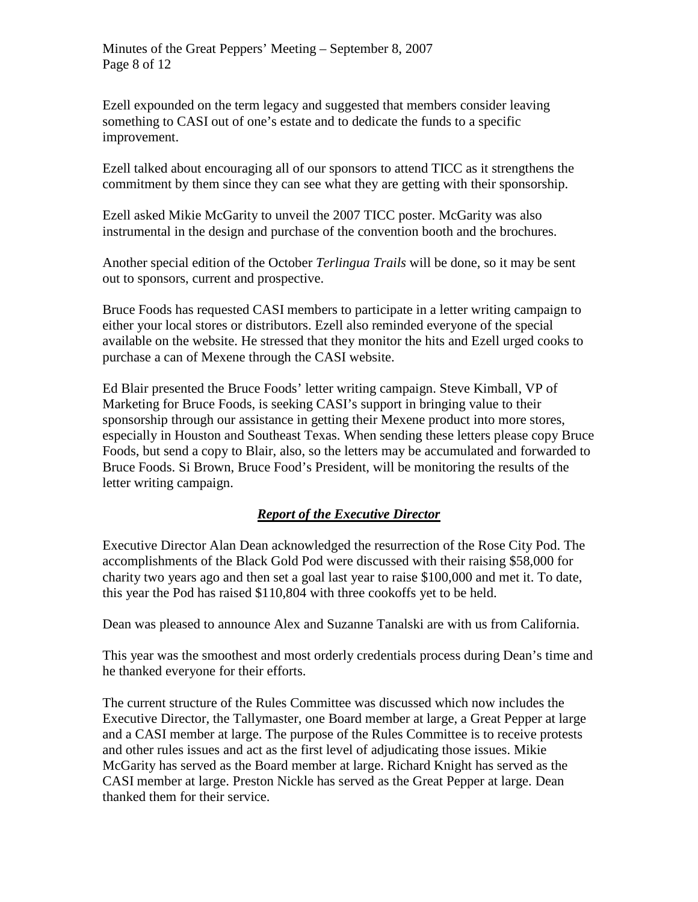Ezell expounded on the term legacy and suggested that members consider leaving something to CASI out of one's estate and to dedicate the funds to a specific improvement.

Ezell talked about encouraging all of our sponsors to attend TICC as it strengthens the commitment by them since they can see what they are getting with their sponsorship.

Ezell asked Mikie McGarity to unveil the 2007 TICC poster. McGarity was also instrumental in the design and purchase of the convention booth and the brochures.

Another special edition of the October *Terlingua Trails* will be done, so it may be sent out to sponsors, current and prospective.

Bruce Foods has requested CASI members to participate in a letter writing campaign to either your local stores or distributors. Ezell also reminded everyone of the special available on the website. He stressed that they monitor the hits and Ezell urged cooks to purchase a can of Mexene through the CASI website.

Ed Blair presented the Bruce Foods' letter writing campaign. Steve Kimball, VP of Marketing for Bruce Foods, is seeking CASI's support in bringing value to their sponsorship through our assistance in getting their Mexene product into more stores, especially in Houston and Southeast Texas. When sending these letters please copy Bruce Foods, but send a copy to Blair, also, so the letters may be accumulated and forwarded to Bruce Foods. Si Brown, Bruce Food's President, will be monitoring the results of the letter writing campaign.

# *Report of the Executive Director*

Executive Director Alan Dean acknowledged the resurrection of the Rose City Pod. The accomplishments of the Black Gold Pod were discussed with their raising \$58,000 for charity two years ago and then set a goal last year to raise \$100,000 and met it. To date, this year the Pod has raised \$110,804 with three cookoffs yet to be held.

Dean was pleased to announce Alex and Suzanne Tanalski are with us from California.

This year was the smoothest and most orderly credentials process during Dean's time and he thanked everyone for their efforts.

The current structure of the Rules Committee was discussed which now includes the Executive Director, the Tallymaster, one Board member at large, a Great Pepper at large and a CASI member at large. The purpose of the Rules Committee is to receive protests and other rules issues and act as the first level of adjudicating those issues. Mikie McGarity has served as the Board member at large. Richard Knight has served as the CASI member at large. Preston Nickle has served as the Great Pepper at large. Dean thanked them for their service.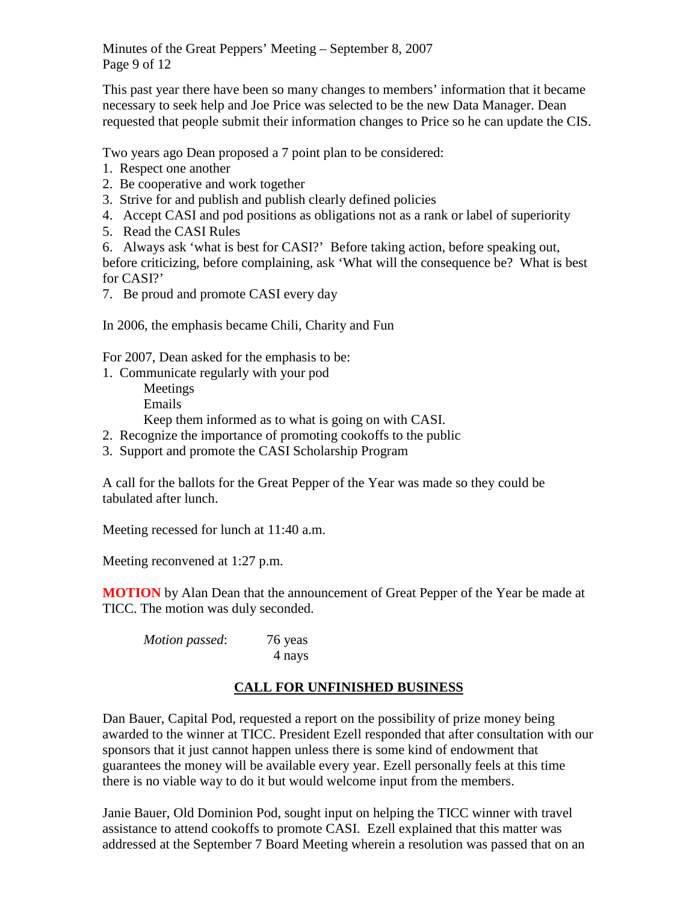Minutes of the Great Peppers' Meeting – September 8, 2007 Page 9 of 12

This past year there have been so many changes to members' information that it became necessary to seek help and Joe Price was selected to be the new Data Manager. Dean requested that people submit their information changes to Price so he can update the CIS.

Two years ago Dean proposed a 7 point plan to be considered:

- 1. Respect one another
- 2. Be cooperative and work together
- 3. Strive for and publish and publish clearly defined policies
- 4. Accept CASI and pod positions as obligations not as a rank or label of superiority
- 5. Read the CASI Rules

6. Always ask 'what is best for CASI?' Before taking action, before speaking out, before criticizing, before complaining, ask 'What will the consequence be? What is best for CASI?'

7. Be proud and promote CASI every day

In 2006, the emphasis became Chili, Charity and Fun

For 2007, Dean asked for the emphasis to be:

1. Communicate regularly with your pod

Meetings Emails

Keep them informed as to what is going on with CASI.

- 2. Recognize the importance of promoting cookoffs to the public
- 3. Support and promote the CASI Scholarship Program

A call for the ballots for the Great Pepper of the Year was made so they could be tabulated after lunch.

Meeting recessed for lunch at 11:40 a.m.

Meeting reconvened at 1:27 p.m.

**MOTION** by Alan Dean that the announcement of Great Pepper of the Year be made at TICC. The motion was duly seconded.

| Motion passed: | 76 yeas |
|----------------|---------|
|                | 4 nays  |

# **CALL FOR UNFINISHED BUSINESS**

Dan Bauer, Capital Pod, requested a report on the possibility of prize money being awarded to the winner at TICC. President Ezell responded that after consultation with our sponsors that it just cannot happen unless there is some kind of endowment that guarantees the money will be available every year. Ezell personally feels at this time there is no viable way to do it but would welcome input from the members.

Janie Bauer, Old Dominion Pod, sought input on helping the TICC winner with travel assistance to attend cookoffs to promote CASI. Ezell explained that this matter was addressed at the September 7 Board Meeting wherein a resolution was passed that on an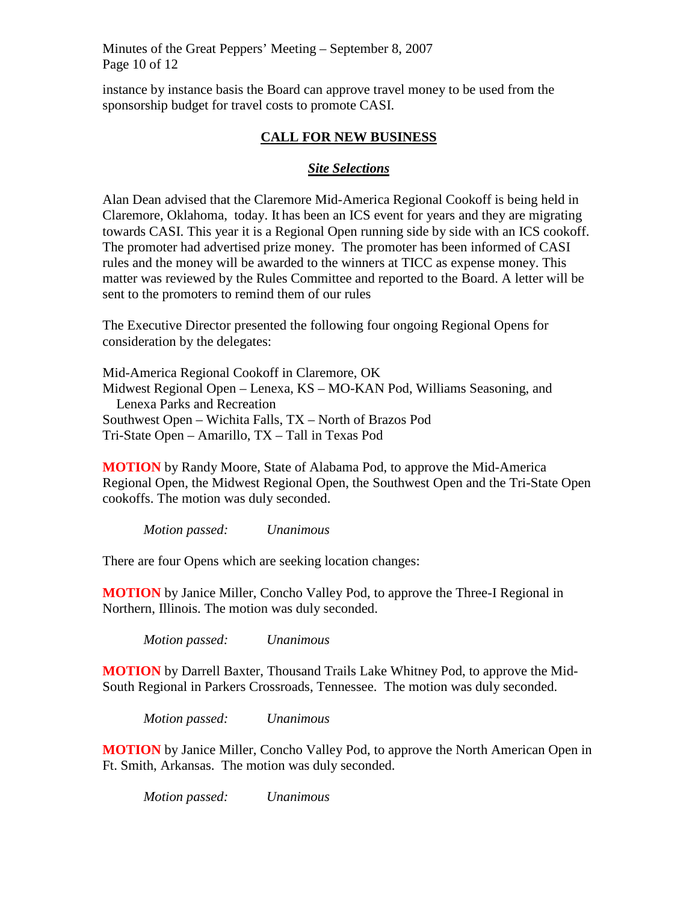Minutes of the Great Peppers' Meeting – September 8, 2007 Page 10 of 12

instance by instance basis the Board can approve travel money to be used from the sponsorship budget for travel costs to promote CASI.

### **CALL FOR NEW BUSINESS**

### *Site Selections*

Alan Dean advised that the Claremore Mid-America Regional Cookoff is being held in Claremore, Oklahoma, today. It has been an ICS event for years and they are migrating towards CASI. This year it is a Regional Open running side by side with an ICS cookoff. The promoter had advertised prize money. The promoter has been informed of CASI rules and the money will be awarded to the winners at TICC as expense money. This matter was reviewed by the Rules Committee and reported to the Board. A letter will be sent to the promoters to remind them of our rules

The Executive Director presented the following four ongoing Regional Opens for consideration by the delegates:

Mid-America Regional Cookoff in Claremore, OK Midwest Regional Open – Lenexa, KS – MO-KAN Pod, Williams Seasoning, and Lenexa Parks and Recreation Southwest Open – Wichita Falls, TX – North of Brazos Pod Tri-State Open – Amarillo, TX – Tall in Texas Pod

**MOTION** by Randy Moore, State of Alabama Pod, to approve the Mid-America Regional Open, the Midwest Regional Open, the Southwest Open and the Tri-State Open cookoffs. The motion was duly seconded.

*Motion passed: Unanimous*

There are four Opens which are seeking location changes:

**MOTION** by Janice Miller, Concho Valley Pod, to approve the Three-I Regional in Northern, Illinois. The motion was duly seconded.

*Motion passed: Unanimous*

**MOTION** by Darrell Baxter, Thousand Trails Lake Whitney Pod, to approve the Mid-South Regional in Parkers Crossroads, Tennessee. The motion was duly seconded.

*Motion passed: Unanimous*

**MOTION** by Janice Miller, Concho Valley Pod, to approve the North American Open in Ft. Smith, Arkansas. The motion was duly seconded.

*Motion passed: Unanimous*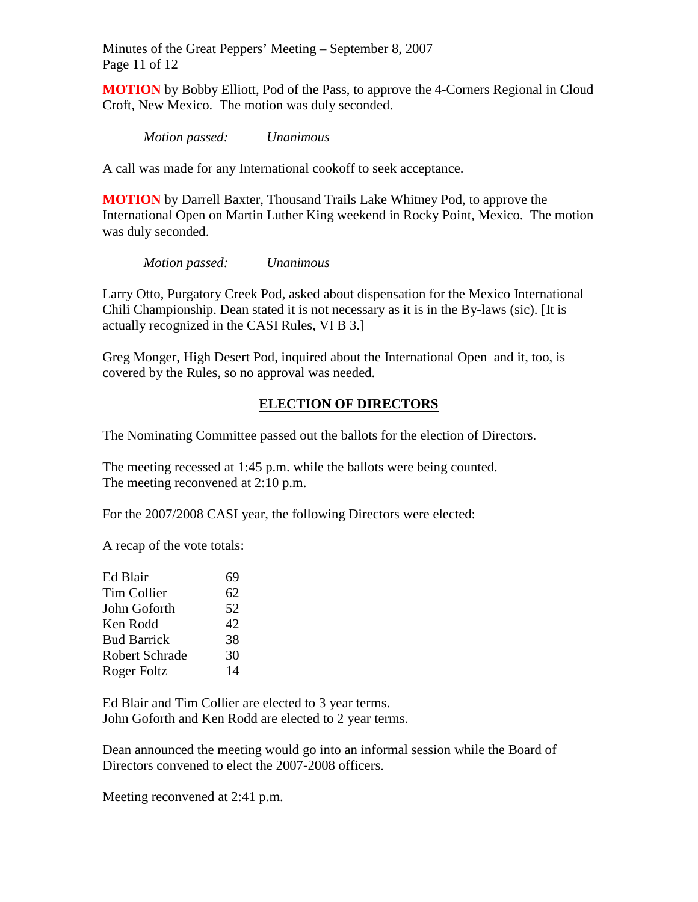Minutes of the Great Peppers' Meeting – September 8, 2007 Page 11 of 12

**MOTION** by Bobby Elliott, Pod of the Pass, to approve the 4-Corners Regional in Cloud Croft, New Mexico. The motion was duly seconded.

*Motion passed: Unanimous*

A call was made for any International cookoff to seek acceptance.

**MOTION** by Darrell Baxter, Thousand Trails Lake Whitney Pod, to approve the International Open on Martin Luther King weekend in Rocky Point, Mexico. The motion was duly seconded.

*Motion passed: Unanimous*

Larry Otto, Purgatory Creek Pod, asked about dispensation for the Mexico International Chili Championship. Dean stated it is not necessary as it is in the By-laws (sic). [It is actually recognized in the CASI Rules, VI B 3.]

Greg Monger, High Desert Pod, inquired about the International Open and it, too, is covered by the Rules, so no approval was needed.

## **ELECTION OF DIRECTORS**

The Nominating Committee passed out the ballots for the election of Directors.

The meeting recessed at 1:45 p.m. while the ballots were being counted. The meeting reconvened at 2:10 p.m.

For the 2007/2008 CASI year, the following Directors were elected:

A recap of the vote totals:

| Ed Blair           | 69 |
|--------------------|----|
| Tim Collier        | 62 |
| John Goforth       | 52 |
| Ken Rodd           | 42 |
| <b>Bud Barrick</b> | 38 |
| Robert Schrade     | 30 |
| Roger Foltz        | 14 |
|                    |    |

Ed Blair and Tim Collier are elected to 3 year terms. John Goforth and Ken Rodd are elected to 2 year terms.

Dean announced the meeting would go into an informal session while the Board of Directors convened to elect the 2007-2008 officers.

Meeting reconvened at 2:41 p.m.